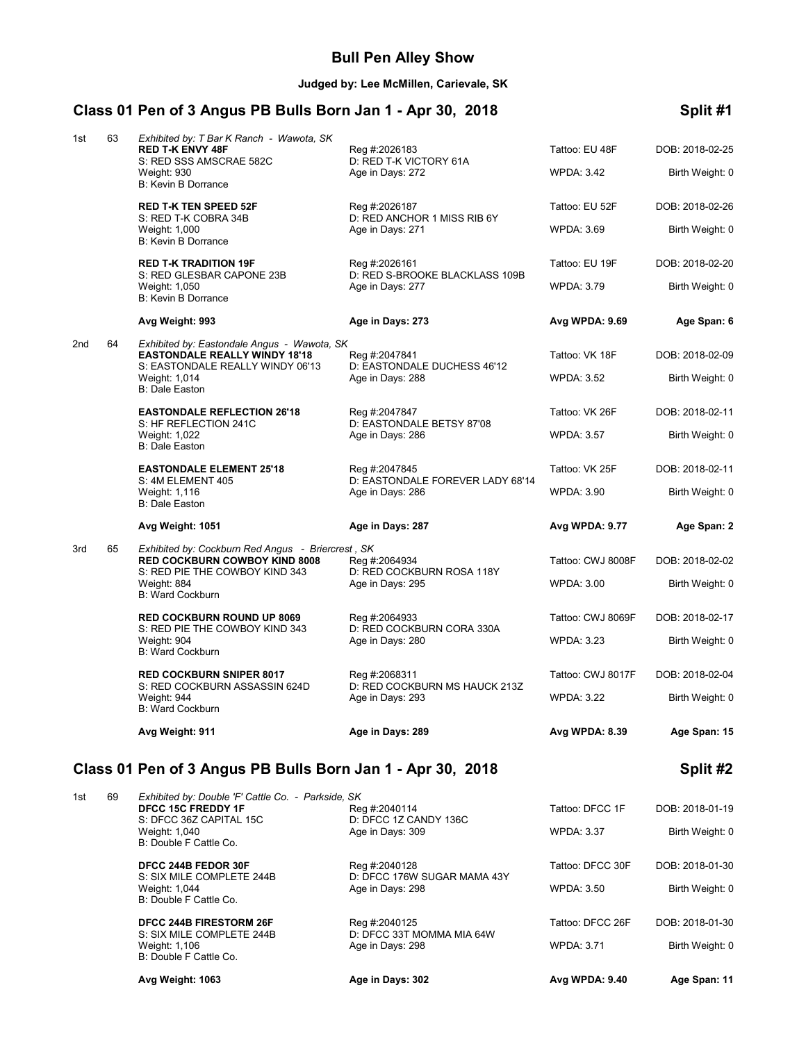### **Bull Pen Alley Show**

**Judged by: Lee McMillen, Carievale, SK**

# **Class 01 Pen of 3 Angus PB Bulls Born Jan 1 - Apr 30, 2018 Split #1**

| 1st             | 63 | Exhibited by: T Bar K Ranch - Wawota, SK<br><b>RED T-K ENVY 48F</b><br>S: RED SSS AMSCRAE 582C<br><b>Weight: 930</b><br>B: Kevin B Dorrance | Reg #:2026183<br>D: RED T-K VICTORY 61A<br>Age in Days: 272 | Tattoo: EU 48F<br><b>WPDA: 3.42</b> | DOB: 2018-02-25<br>Birth Weight: 0 |
|-----------------|----|---------------------------------------------------------------------------------------------------------------------------------------------|-------------------------------------------------------------|-------------------------------------|------------------------------------|
|                 |    | <b>RED T-K TEN SPEED 52F</b>                                                                                                                | Reg #:2026187                                               | Tattoo: EU 52F                      | DOB: 2018-02-26                    |
|                 |    | S: RED T-K COBRA 34B<br>Weight: 1,000<br>B: Kevin B Dorrance                                                                                | D: RED ANCHOR 1 MISS RIB 6Y<br>Age in Days: 271             | <b>WPDA: 3.69</b>                   | Birth Weight: 0                    |
|                 |    | <b>RED T-K TRADITION 19F</b>                                                                                                                | Reg #:2026161                                               | Tattoo: EU 19F                      | DOB: 2018-02-20                    |
|                 |    | S: RED GLESBAR CAPONE 23B<br>Weight: 1,050<br><b>B: Kevin B Dorrance</b>                                                                    | D: RED S-BROOKE BLACKLASS 109B<br>Age in Days: 277          | <b>WPDA: 3.79</b>                   | Birth Weight: 0                    |
|                 |    | Avg Weight: 993                                                                                                                             | Age in Days: 273                                            | Avg WPDA: 9.69                      | Age Span: 6                        |
| 2 <sub>nd</sub> | 64 | Exhibited by: Eastondale Angus - Wawota, SK<br><b>EASTONDALE REALLY WINDY 18'18</b><br>S: EASTONDALE REALLY WINDY 06'13                     | Reg #:2047841<br>D: EASTONDALE DUCHESS 46'12                | Tattoo: VK 18F                      | DOB: 2018-02-09                    |
|                 |    | Weight: 1,014<br><b>B: Dale Easton</b>                                                                                                      | Age in Days: 288                                            | <b>WPDA: 3.52</b>                   | Birth Weight: 0                    |
|                 |    | <b>EASTONDALE REFLECTION 26'18</b>                                                                                                          | Reg #:2047847                                               | Tattoo: VK 26F                      | DOB: 2018-02-11                    |
|                 |    | S: HF REFLECTION 241C<br>Weight: 1,022<br><b>B: Dale Easton</b>                                                                             | D: EASTONDALE BETSY 87'08<br>Age in Days: 286               | <b>WPDA: 3.57</b>                   | Birth Weight: 0                    |
|                 |    | <b>EASTONDALE ELEMENT 25'18</b>                                                                                                             | Reg #:2047845                                               | Tattoo: VK 25F                      | DOB: 2018-02-11                    |
|                 |    | S: 4M ELEMENT 405<br>Weight: 1,116<br><b>B: Dale Easton</b>                                                                                 | D: EASTONDALE FOREVER LADY 68'14<br>Age in Days: 286        | <b>WPDA: 3.90</b>                   | Birth Weight: 0                    |
|                 |    | Avg Weight: 1051                                                                                                                            | Age in Days: 287                                            | Avg WPDA: 9.77                      | Age Span: 2                        |
| 3rd             | 65 | Exhibited by: Cockburn Red Angus - Briercrest, SK<br>RED COCKBURN COWBOY KIND 8008<br>S: RED PIE THE COWBOY KIND 343                        | Reg #:2064934<br>D: RED COCKBURN ROSA 118Y                  | Tattoo: CWJ 8008F                   | DOB: 2018-02-02                    |
|                 |    | Weight: 884<br><b>B: Ward Cockburn</b>                                                                                                      | Age in Days: 295                                            | <b>WPDA: 3.00</b>                   | Birth Weight: 0                    |
|                 |    | <b>RED COCKBURN ROUND UP 8069</b>                                                                                                           | Reg #:2064933                                               | Tattoo: CWJ 8069F                   | DOB: 2018-02-17                    |
|                 |    | S: RED PIE THE COWBOY KIND 343                                                                                                              | D: RED COCKBURN CORA 330A                                   |                                     |                                    |
|                 |    | Weight: 904<br><b>B: Ward Cockburn</b>                                                                                                      | Age in Days: 280                                            | <b>WPDA: 3.23</b>                   | Birth Weight: 0                    |
|                 |    | <b>RED COCKBURN SNIPER 8017</b>                                                                                                             | Reg #:2068311                                               | Tattoo: CWJ 8017F                   | DOB: 2018-02-04                    |
|                 |    | S: RED COCKBURN ASSASSIN 624D<br>Weight: 944<br><b>B: Ward Cockburn</b>                                                                     | D: RED COCKBURN MS HAUCK 213Z<br>Age in Days: 293           | <b>WPDA: 3.22</b>                   | Birth Weight: 0                    |
|                 |    | Avg Weight: 911                                                                                                                             | Age in Days: 289                                            | Avg WPDA: 8.39                      | Age Span: 15                       |
|                 |    | Class 01 Pen of 3 Angus PB Bulls Born Jan 1 - Apr 30, 2018                                                                                  |                                                             |                                     | Split #2                           |
| 1st             | 69 | Exhibited by: Double 'F' Cattle Co. - Parkside, SK<br><b>DFCC 15C FREDDY 1F</b>                                                             | Reg #:2040114                                               | Tattoo: DFCC 1F                     | DOB: 2018-01-19                    |
|                 |    | S: DFCC 36Z CAPITAL 15C<br>Weight: 1,040<br>B: Double F Cattle Co.                                                                          | D: DFCC 1Z CANDY 136C<br>Age in Days: 309                   | WPDA: 3.37                          | Birth Weight: 0                    |
|                 |    | DFCC 244B FEDOR 30F                                                                                                                         | Reg #:2040128                                               | Tattoo: DFCC 30F                    | DOB: 2018-01-30                    |
|                 |    | S: SIX MILE COMPLETE 244B<br>Weight: 1,044<br>B: Double F Cattle Co.                                                                        | D: DFCC 176W SUGAR MAMA 43Y<br>Age in Days: 298             | WPDA: 3.50                          | Birth Weight: 0                    |
|                 |    | <b>DFCC 244B FIRESTORM 26F</b><br>S: SIX MILE COMPLETE 244B                                                                                 | Reg #:2040125<br>D: DFCC 33T MOMMA MIA 64W                  | Tattoo: DFCC 26F                    | DOB: 2018-01-30                    |

**Avg Weight: 1063 Age in Days: 302 Avg WPDA: 9.40 Age Span: 11**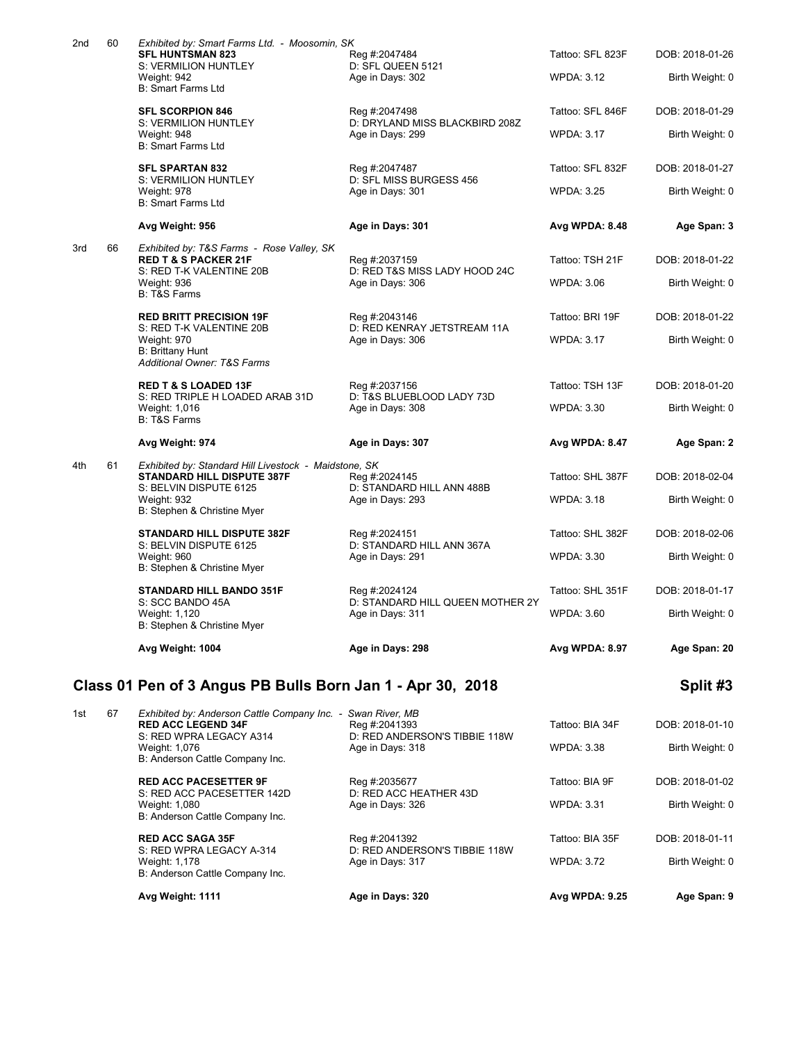|     |    | Class 01 Pen of 3 Angus PB Bulls Born Jan 1 - Apr 30, 2018                                 |                                                    |                   | Split #3        |
|-----|----|--------------------------------------------------------------------------------------------|----------------------------------------------------|-------------------|-----------------|
|     |    | Avg Weight: 1004                                                                           | Age in Days: 298                                   | Avg WPDA: 8.97    | Age Span: 20    |
|     |    | Weight: 1,120<br>B: Stephen & Christine Myer                                               | Age in Days: 311                                   | <b>WPDA: 3.60</b> | Birth Weight: 0 |
|     |    | STANDARD HILL BANDO 351F<br>S: SCC BANDO 45A                                               | Reg #:2024124<br>D: STANDARD HILL QUEEN MOTHER 2Y  | Tattoo: SHL 351F  | DOB: 2018-01-17 |
|     |    | Weight: 960<br>B: Stephen & Christine Myer                                                 | Age in Days: 291                                   | <b>WPDA: 3.30</b> | Birth Weight: 0 |
|     |    | <b>STANDARD HILL DISPUTE 382F</b><br>S: BELVIN DISPUTE 6125                                | Reg #:2024151<br>D: STANDARD HILL ANN 367A         | Tattoo: SHL 382F  | DOB: 2018-02-06 |
|     |    | S: BELVIN DISPUTE 6125<br>Weight: 932<br>B: Stephen & Christine Myer                       | D: STANDARD HILL ANN 488B<br>Age in Days: 293      | <b>WPDA: 3.18</b> | Birth Weight: 0 |
| 4th | 61 | Exhibited by: Standard Hill Livestock - Maidstone, SK<br><b>STANDARD HILL DISPUTE 387F</b> | Reg #:2024145                                      | Tattoo: SHL 387F  | DOB: 2018-02-04 |
|     |    | Avg Weight: 974                                                                            | Age in Days: 307                                   | Avg WPDA: 8.47    | Age Span: 2     |
|     |    | S: RED TRIPLE H LOADED ARAB 31D<br>Weight: 1,016<br><b>B: T&amp;S Farms</b>                | D: T&S BLUEBLOOD LADY 73D<br>Age in Days: 308      | <b>WPDA: 3.30</b> | Birth Weight: 0 |
|     |    | Additional Owner: T&S Farms<br><b>RED T &amp; S LOADED 13F</b>                             | Reg #:2037156                                      | Tattoo: TSH 13F   | DOB: 2018-01-20 |
|     |    | S: RED T-K VALENTINE 20B<br>Weight: 970<br><b>B: Brittany Hunt</b>                         | D: RED KENRAY JETSTREAM 11A<br>Age in Days: 306    | <b>WPDA: 3.17</b> | Birth Weight: 0 |
|     |    | <b>RED BRITT PRECISION 19F</b>                                                             | Reg #:2043146                                      | Tattoo: BRI 19F   | DOB: 2018-01-22 |
|     |    | S: RED T-K VALENTINE 20B<br>Weight: 936<br><b>B: T&amp;S Farms</b>                         | D: RED T&S MISS LADY HOOD 24C<br>Age in Days: 306  | <b>WPDA: 3.06</b> | Birth Weight: 0 |
| 3rd | 66 | Exhibited by: T&S Farms - Rose Valley, SK<br><b>RED T &amp; S PACKER 21F</b>               | Reg #:2037159                                      | Tattoo: TSH 21F   | DOB: 2018-01-22 |
|     |    | Avg Weight: 956                                                                            | Age in Days: 301                                   | Avg WPDA: 8.48    | Age Span: 3     |
|     |    | S: VERMILION HUNTLEY<br>Weight: 978<br><b>B: Smart Farms Ltd</b>                           | D: SFL MISS BURGESS 456<br>Age in Days: 301        | <b>WPDA: 3.25</b> | Birth Weight: 0 |
|     |    | <b>SFL SPARTAN 832</b>                                                                     | Reg #:2047487                                      | Tattoo: SFL 832F  | DOB: 2018-01-27 |
|     |    | S: VERMILION HUNTLEY<br>Weight: 948<br><b>B: Smart Farms Ltd</b>                           | D: DRYLAND MISS BLACKBIRD 208Z<br>Age in Days: 299 | <b>WPDA: 3.17</b> | Birth Weight: 0 |
|     |    | <b>SFL SCORPION 846</b>                                                                    | Reg #:2047498                                      | Tattoo: SFL 846F  | DOB: 2018-01-29 |
|     |    | S: VERMILION HUNTLEY<br>Weight: 942<br><b>B: Smart Farms Ltd</b>                           | D: SFL QUEEN 5121<br>Age in Days: 302              | <b>WPDA: 3.12</b> | Birth Weight: 0 |
| 2nd | 60 | Exhibited by: Smart Farms Ltd. - Moosomin, SK<br><b>SFL HUNTSMAN 823</b>                   | Reg #:2047484                                      | Tattoo: SFL 823F  | DOB: 2018-01-26 |

|    | S: RED WPRA LEGACY A-314<br>Weight: 1,178<br>B: Anderson Cattle Company Inc. | D: RED ANDERSON'S TIBBIE 118W<br>Age in Days: 317     | <b>WPDA: 3.72</b>                                       | Birth Weight: 0 |
|----|------------------------------------------------------------------------------|-------------------------------------------------------|---------------------------------------------------------|-----------------|
|    |                                                                              |                                                       |                                                         |                 |
|    | <b>RED ACC SAGA 35F</b>                                                      | Reg #:2041392                                         | Tattoo: BIA 35F                                         | DOB: 2018-01-11 |
|    | Weight: 1,080<br>B: Anderson Cattle Company Inc.                             | Age in Days: 326                                      | <b>WPDA: 3.31</b>                                       | Birth Weight: 0 |
|    | <b>RED ACC PACESETTER 9F</b>                                                 | Reg #:2035677                                         | Tattoo: BIA 9F                                          | DOB: 2018-01-02 |
|    | Weight: 1,076<br>B: Anderson Cattle Company Inc.                             | Age in Days: 318                                      | <b>WPDA: 3.38</b>                                       | Birth Weight: 0 |
| 67 | Exhibited by: Anderson Cattle Company Inc.<br><b>RED ACC LEGEND 34F</b>      | Swan River, MB<br>Reg #:2041393                       | Tattoo: BIA 34F                                         | DOB: 2018-01-10 |
|    |                                                                              | S: RED WPRA LEGACY A314<br>S: RED ACC PACESETTER 142D | D: RED ANDERSON'S TIBBIE 118W<br>D: RED ACC HEATHER 43D |                 |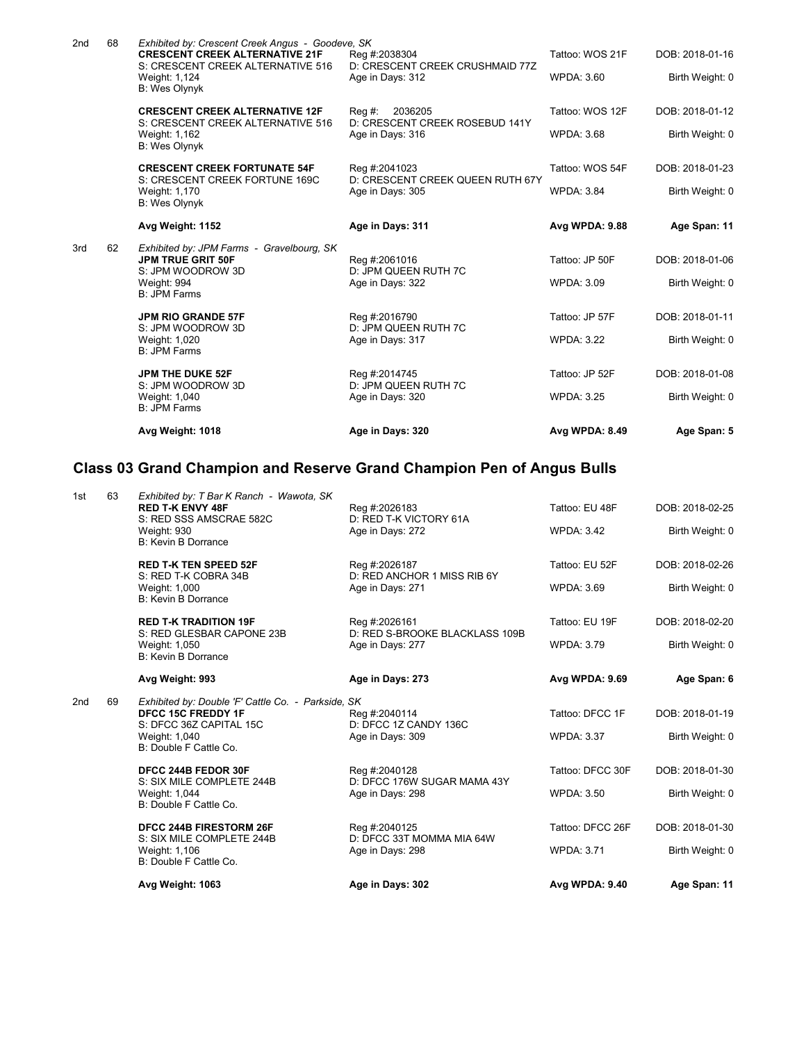|     |    | Avg Weight: 1018                                                                                                               | Age in Days: 320                                                        | Avg WPDA: 8.49                       | Age Span: 5                        |
|-----|----|--------------------------------------------------------------------------------------------------------------------------------|-------------------------------------------------------------------------|--------------------------------------|------------------------------------|
|     |    | JPM THE DUKE 52F<br>S: JPM WOODROW 3D<br>Weight: 1,040<br><b>B: JPM Farms</b>                                                  | Reg #:2014745<br>D: JPM QUEEN RUTH 7C<br>Age in Days: 320               | Tattoo: JP 52F<br><b>WPDA: 3.25</b>  | DOB: 2018-01-08<br>Birth Weight: 0 |
|     |    | <b>JPM RIO GRANDE 57F</b><br>S: JPM WOODROW 3D<br>Weight: 1,020<br><b>B: JPM Farms</b>                                         | Reg #:2016790<br>D: JPM QUEEN RUTH 7C<br>Age in Days: 317               | Tattoo: JP 57F<br><b>WPDA: 3.22</b>  | DOB: 2018-01-11<br>Birth Weight: 0 |
| 3rd | 62 | Exhibited by: JPM Farms - Gravelbourg, SK<br><b>JPM TRUE GRIT 50F</b><br>S: JPM WOODROW 3D<br>Weight: 994<br>B: JPM Farms      | Reg #:2061016<br>D: JPM QUEEN RUTH 7C<br>Age in Days: 322               | Tattoo: JP 50F<br><b>WPDA: 3.09</b>  | DOB: 2018-01-06<br>Birth Weight: 0 |
|     |    | Avg Weight: 1152                                                                                                               | Age in Days: 311                                                        | <b>Avg WPDA: 9.88</b>                | Age Span: 11                       |
|     |    | S: CRESCENT CREEK FORTUNE 169C<br>Weight: 1,170<br><b>B: Wes Olynyk</b>                                                        | D: CRESCENT CREEK QUEEN RUTH 67Y<br>Age in Days: 305                    | <b>WPDA: 3.84</b>                    | Birth Weight: 0                    |
|     |    | <b>CRESCENT CREEK FORTUNATE 54F</b>                                                                                            | Reg #:2041023                                                           | Tattoo: WOS 54F                      | DOB: 2018-01-23                    |
|     |    | <b>CRESCENT CREEK ALTERNATIVE 12F</b><br>S: CRESCENT CREEK ALTERNATIVE 516<br>Weight: 1,162<br>B: Wes Olynyk                   | 2036205<br>Reg #:<br>D: CRESCENT CREEK ROSEBUD 141Y<br>Age in Days: 316 | Tattoo: WOS 12F<br><b>WPDA: 3.68</b> | DOB: 2018-01-12<br>Birth Weight: 0 |
|     |    | Weight: 1,124<br>B: Wes Olynyk                                                                                                 | Age in Days: 312                                                        | <b>WPDA: 3.60</b>                    | Birth Weight: 0                    |
| 2nd | 68 | Exhibited by: Crescent Creek Angus - Goodeve, SK<br><b>CRESCENT CREEK ALTERNATIVE 21F</b><br>S: CRESCENT CREEK ALTERNATIVE 516 | Reg #:2038304<br>D: CRESCENT CREEK CRUSHMAID 77Z                        | Tattoo: WOS 21F                      | DOB: 2018-01-16                    |

# **Class 03 Grand Champion and Reserve Grand Champion Pen of Angus Bulls**

|                 |    | Avg Weight: 1063                                                                                                                                      | Age in Days: 302                                                    | Avg WPDA: 9.40                        | Age Span: 11                       |
|-----------------|----|-------------------------------------------------------------------------------------------------------------------------------------------------------|---------------------------------------------------------------------|---------------------------------------|------------------------------------|
|                 |    | <b>DFCC 244B FIRESTORM 26F</b><br>S: SIX MILE COMPLETE 244B<br>Weight: 1,106<br>B: Double F Cattle Co.                                                | Reg #:2040125<br>D: DFCC 33T MOMMA MIA 64W<br>Age in Days: 298      | Tattoo: DFCC 26F<br><b>WPDA: 3.71</b> | DOB: 2018-01-30<br>Birth Weight: 0 |
|                 |    | DFCC 244B FEDOR 30F<br>S: SIX MILE COMPLETE 244B<br>Weight: 1,044<br>B: Double F Cattle Co.                                                           | Reg #:2040128<br>D: DFCC 176W SUGAR MAMA 43Y<br>Age in Days: 298    | Tattoo: DFCC 30F<br><b>WPDA: 3.50</b> | DOB: 2018-01-30<br>Birth Weight: 0 |
| 2 <sub>nd</sub> | 69 | Exhibited by: Double 'F' Cattle Co. - Parkside, SK<br><b>DFCC 15C FREDDY 1F</b><br>S: DFCC 36Z CAPITAL 15C<br>Weight: 1,040<br>B: Double F Cattle Co. | Reg #:2040114<br>D: DFCC 1Z CANDY 136C<br>Age in Days: 309          | Tattoo: DFCC 1F<br><b>WPDA: 3.37</b>  | DOB: 2018-01-19<br>Birth Weight: 0 |
|                 |    | Avg Weight: 993                                                                                                                                       | Age in Days: 273                                                    | Avg WPDA: 9.69                        | Age Span: 6                        |
|                 |    | <b>RED T-K TRADITION 19F</b><br>S: RED GLESBAR CAPONE 23B<br>Weight: 1,050<br><b>B: Kevin B Dorrance</b>                                              | Reg #:2026161<br>D: RED S-BROOKE BLACKLASS 109B<br>Age in Days: 277 | Tattoo: EU 19F<br><b>WPDA: 3.79</b>   | DOB: 2018-02-20<br>Birth Weight: 0 |
|                 |    | <b>RED T-K TEN SPEED 52F</b><br>S: RED T-K COBRA 34B<br>Weight: 1,000<br><b>B: Kevin B Dorrance</b>                                                   | Reg #:2026187<br>D: RED ANCHOR 1 MISS RIB 6Y<br>Age in Days: 271    | Tattoo: EU 52F<br><b>WPDA: 3.69</b>   | DOB: 2018-02-26<br>Birth Weight: 0 |
| 1st             | 63 | Exhibited by: T Bar K Ranch - Wawota, SK<br><b>RED T-K ENVY 48F</b><br>S: RED SSS AMSCRAE 582C<br><b>Weight: 930</b><br><b>B: Kevin B Dorrance</b>    | Reg #:2026183<br>D: RED T-K VICTORY 61A<br>Age in Days: 272         | Tattoo: EU 48F<br><b>WPDA: 3.42</b>   | DOB: 2018-02-25<br>Birth Weight: 0 |
|                 |    |                                                                                                                                                       |                                                                     |                                       |                                    |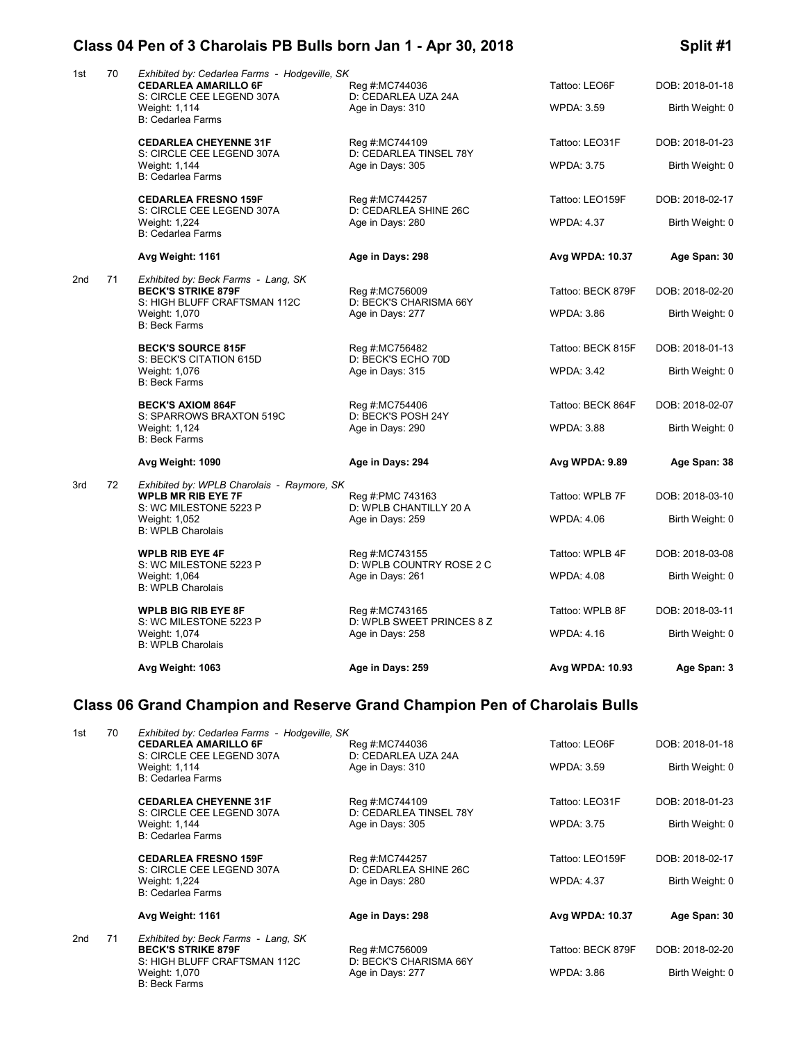### **Class 04 Pen of 3 Charolais PB Bulls born Jan 1 - Apr 30, 2018 Split #1**

| 1st             | 70 | Exhibited by: Cedarlea Farms - Hodgeville, SK<br><b>CEDARLEA AMARILLO 6F</b><br>S: CIRCLE CEE LEGEND 307A | Reg #:MC744036<br>D: CEDARLEA UZA 24A         | Tattoo: LEO6F     | DOB: 2018-01-18 |
|-----------------|----|-----------------------------------------------------------------------------------------------------------|-----------------------------------------------|-------------------|-----------------|
|                 |    | Weight: 1,114<br><b>B: Cedarlea Farms</b>                                                                 | Age in Days: 310                              | <b>WPDA: 3.59</b> | Birth Weight: 0 |
|                 |    | <b>CEDARLEA CHEYENNE 31F</b><br>S: CIRCLE CEE LEGEND 307A                                                 | Reg #:MC744109<br>D: CEDARLEA TINSEL 78Y      | Tattoo: LEO31F    | DOB: 2018-01-23 |
|                 |    | Weight: 1,144<br><b>B: Cedarlea Farms</b>                                                                 | Age in Days: 305                              | <b>WPDA: 3.75</b> | Birth Weight: 0 |
|                 |    | <b>CEDARLEA FRESNO 159F</b>                                                                               | Reg #:MC744257                                | Tattoo: LEO159F   | DOB: 2018-02-17 |
|                 |    | S: CIRCLE CEE LEGEND 307A<br>Weight: 1,224<br><b>B: Cedarlea Farms</b>                                    | D: CEDARLEA SHINE 26C<br>Age in Days: 280     | <b>WPDA: 4.37</b> | Birth Weight: 0 |
|                 |    | Avg Weight: 1161                                                                                          | Age in Days: 298                              | Avg WPDA: 10.37   | Age Span: 30    |
| 2 <sub>nd</sub> | 71 | Exhibited by: Beck Farms - Lang, SK<br><b>BECK'S STRIKE 879F</b>                                          |                                               | Tattoo: BECK 879F | DOB: 2018-02-20 |
|                 |    | S: HIGH BLUFF CRAFTSMAN 112C                                                                              | Reg #:MC756009<br>D: BECK'S CHARISMA 66Y      |                   |                 |
|                 |    | Weight: 1,070<br><b>B: Beck Farms</b>                                                                     | Age in Days: 277                              | <b>WPDA: 3.86</b> | Birth Weight: 0 |
|                 |    | <b>BECK'S SOURCE 815F</b>                                                                                 | Reg #:MC756482<br>D: BECK'S ECHO 70D          | Tattoo: BECK 815F | DOB: 2018-01-13 |
|                 |    | S: BECK'S CITATION 615D<br>Weight: 1,076<br><b>B: Beck Farms</b>                                          | Age in Days: 315                              | <b>WPDA: 3.42</b> | Birth Weight: 0 |
|                 |    | <b>BECK'S AXIOM 864F</b>                                                                                  | Reg #:MC754406                                | Tattoo: BECK 864F | DOB: 2018-02-07 |
|                 |    | S: SPARROWS BRAXTON 519C                                                                                  | D: BECK'S POSH 24Y                            |                   |                 |
|                 |    | Weight: 1,124<br><b>B: Beck Farms</b>                                                                     | Age in Days: 290                              | <b>WPDA: 3.88</b> | Birth Weight: 0 |
|                 |    | Avg Weight: 1090                                                                                          | Age in Days: 294                              | Avg WPDA: 9.89    | Age Span: 38    |
| 3rd             | 72 | Exhibited by: WPLB Charolais - Raymore, SK                                                                |                                               |                   |                 |
|                 |    | <b>WPLB MR RIB EYE 7F</b><br>S: WC MILESTONE 5223 P                                                       | Reg #:PMC 743163<br>D: WPLB CHANTILLY 20 A    | Tattoo: WPLB 7F   | DOB: 2018-03-10 |
|                 |    | Weight: 1,052<br><b>B: WPLB Charolais</b>                                                                 | Age in Days: 259                              | <b>WPDA: 4.06</b> | Birth Weight: 0 |
|                 |    | <b>WPLB RIB EYE 4F</b><br>S: WC MILESTONE 5223 P                                                          | Reg #:MC743155<br>D: WPLB COUNTRY ROSE 2 C    | Tattoo: WPLB 4F   | DOB: 2018-03-08 |
|                 |    | Weight: 1,064<br><b>B: WPLB Charolais</b>                                                                 | Age in Days: 261                              | <b>WPDA: 4.08</b> | Birth Weight: 0 |
|                 |    | <b>WPLB BIG RIB EYE 8F</b>                                                                                | Reg #:MC743165                                | Tattoo: WPLB 8F   | DOB: 2018-03-11 |
|                 |    | S: WC MILESTONE 5223 P<br>Weight: 1,074<br><b>B: WPLB Charolais</b>                                       | D: WPLB SWEET PRINCES 8 Z<br>Age in Days: 258 | <b>WPDA: 4.16</b> | Birth Weight: 0 |
|                 |    | Avg Weight: 1063                                                                                          | Age in Days: 259                              | Avg WPDA: 10.93   | Age Span: 3     |
|                 |    | Class 06 Grand Champion and Reserve Grand Champion Pen of Charolais Bulls                                 |                                               |                   |                 |
|                 |    |                                                                                                           |                                               |                   |                 |
| 1st             | 70 | Exhibited by: Cedarlea Farms - Hodgeville, SK<br><b>CEDARLEA AMARILLO 6F</b>                              | Reg #:MC744036                                | Tattoo: LEO6F     | DOB: 2018-01-18 |
|                 |    | S: CIRCLE CEE LEGEND 307A<br>Weight: 1,114<br><b>B: Cedarlea Farms</b>                                    | D: CEDARLEA UZA 24A<br>Age in Days: 310       | WPDA: 3.59        | Birth Weight: 0 |
|                 |    | <b>CEDARLEA CHEYENNE 31F</b>                                                                              | Reg #:MC744109                                | Tattoo: LEO31F    | DOB: 2018-01-23 |
|                 |    | S: CIRCLE CEE LEGEND 307A<br>Weight: 1,144                                                                | D: CEDARLEA TINSEL 78Y<br>Age in Days: 305    | WPDA: 3.75        | Birth Weight: 0 |
|                 |    | <b>B: Cedarlea Farms</b>                                                                                  |                                               |                   |                 |
|                 |    | <b>CEDARLEA FRESNO 159F</b><br>S: CIRCLE CEE LEGEND 307A                                                  | Reg #:MC744257<br>D: CEDARLEA SHINE 26C       | Tattoo: LEO159F   | DOB: 2018-02-17 |
|                 |    | Weight: 1,224                                                                                             | Age in Days: 280                              | <b>WPDA: 4.37</b> | Birth Weight: 0 |

B: Cedarlea Farms

2nd 71 *Exhibited by: Beck Farms - Lang, SK* S: HIGH BLUFF CRAFTSMAN 112C D: BECK'S CHARISMA 66Y<br>Weight: 1,070 Age in Days: 277 B: Beck Farms

**BECK'S STRIKE 879F** Reg #:MC756009 Tattoo: BECK 879F DOB: 2018-02-20 Age in Days: 277 WPDA: 3.86 Birth Weight: 0

**Avg Weight: 1161 Age in Days: 298 Avg WPDA: 10.37 Age Span: 30**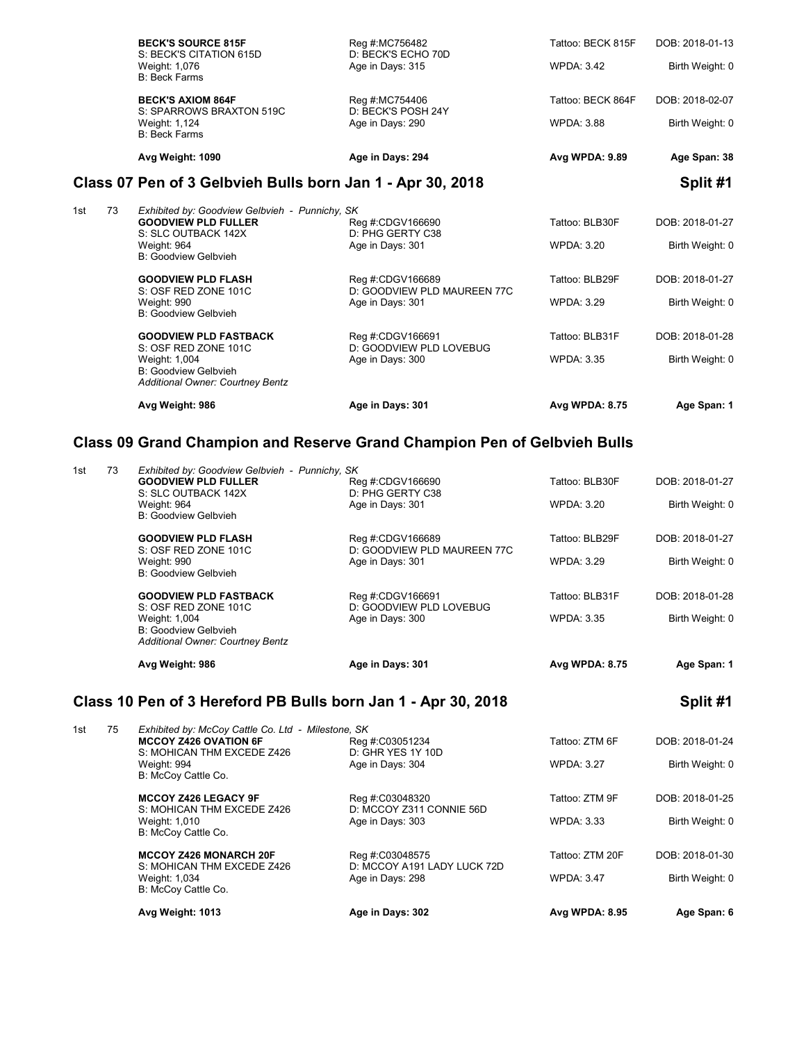| Avg Weight: 1090                                     | Age in Days: 294                       | Avg WPDA: 9.89    | Age Span: 38    |
|------------------------------------------------------|----------------------------------------|-------------------|-----------------|
| <b>B: Beck Farms</b>                                 |                                        |                   |                 |
| S: SPARROWS BRAXTON 519C<br>Weight: 1,124            | D: BECK'S POSH 24Y<br>Age in Days: 290 | <b>WPDA: 3.88</b> | Birth Weight: 0 |
| <b>BECK'S AXIOM 864F</b>                             | Reg #:MC754406                         | Tattoo: BECK 864F | DOB: 2018-02-07 |
| Weight: 1,076<br>B: Beck Farms                       | Age in Days: 315                       | <b>WPDA: 3.42</b> | Birth Weight: 0 |
| <b>BECK'S SOURCE 815F</b><br>S: BECK'S CITATION 615D | Reg #:MC756482<br>D: BECK'S ECHO 70D   | Tattoo: BECK 815F | DOB: 2018-01-13 |
|                                                      |                                        |                   |                 |

## **Class 07 Pen of 3 Gelbvieh Bulls born Jan 1 - Apr 30, 2018 Split #1**

|     |    | Avg Weight: 986                                                 | Age in Days: 301                            | <b>Avg WPDA: 8.75</b> | Age Span: 1     |
|-----|----|-----------------------------------------------------------------|---------------------------------------------|-----------------------|-----------------|
|     |    | B: Goodview Gelbvieh<br><b>Additional Owner: Courtney Bentz</b> |                                             |                       |                 |
|     |    | Weight: 1,004                                                   | Age in Days: 300                            | <b>WPDA: 3.35</b>     | Birth Weight: 0 |
|     |    | <b>GOODVIEW PLD FASTBACK</b><br>S: OSF RED ZONE 101C            | Reg #:CDGV166691<br>D: GOODVIEW PLD LOVEBUG | Tattoo: BLB31F        | DOB: 2018-01-28 |
|     |    | Weight: 990<br>B: Goodview Gelbvieh                             | Age in Days: 301                            | <b>WPDA: 3.29</b>     | Birth Weight: 0 |
|     |    | S: OSF RED ZONE 101C                                            | D: GOODVIEW PLD MAUREEN 77C                 |                       |                 |
|     |    | <b>GOODVIEW PLD FLASH</b>                                       | Reg #:CDGV166689                            | Tattoo: BLB29F        | DOB: 2018-01-27 |
|     |    | B: Goodview Gelbvieh                                            |                                             |                       |                 |
|     |    | Weight: 964                                                     | Age in Days: 301                            | WPDA: 3.20            | Birth Weight: 0 |
|     |    | S: SLC OUTBACK 142X                                             | D: PHG GERTY C38                            |                       |                 |
|     |    | <b>GOODVIEW PLD FULLER</b>                                      | Reg #:CDGV166690                            | Tattoo: BLB30F        | DOB: 2018-01-27 |
| 1st | 73 | Exhibited by: Goodview Gelbvieh - Punnichy, SK                  |                                             |                       |                 |

## **Class 09 Grand Champion and Reserve Grand Champion Pen of Gelbvieh Bulls**

|     | 73 | Exhibited by: Goodview Gelbvieh - Punnichy, SK<br><b>GOODVIEW PLD FULLER</b><br>S: SLC OUTBACK 142X<br>Weight: 964<br><b>B: Goodview Gelbvieh</b>      | Reg #:CDGV166690<br>D: PHG GERTY C38<br>Age in Days: 301            | Tattoo: BLB30F<br><b>WPDA: 3.20</b>  | DOB: 2018-01-27<br>Birth Weight: 0 |
|-----|----|--------------------------------------------------------------------------------------------------------------------------------------------------------|---------------------------------------------------------------------|--------------------------------------|------------------------------------|
|     |    | <b>GOODVIEW PLD FLASH</b><br>S: OSF RED ZONE 101C<br>Weight: 990<br><b>B: Goodview Gelbvieh</b>                                                        | Reg #:CDGV166689<br>D: GOODVIEW PLD MAUREEN 77C<br>Age in Days: 301 | Tattoo: BLB29F<br><b>WPDA: 3.29</b>  | DOB: 2018-01-27<br>Birth Weight: 0 |
|     |    | <b>GOODVIEW PLD FASTBACK</b><br>S: OSF RED ZONE 101C<br>Weight: 1,004<br>B: Goodview Gelbvieh<br>Additional Owner: Courtney Bentz                      | Reg #:CDGV166691<br>D: GOODVIEW PLD LOVEBUG<br>Age in Days: 300     | Tattoo: BLB31F<br><b>WPDA: 3.35</b>  | DOB: 2018-01-28<br>Birth Weight: 0 |
|     |    | Avg Weight: 986                                                                                                                                        | Age in Days: 301                                                    | Avg WPDA: 8.75                       | Age Span: 1                        |
|     |    |                                                                                                                                                        |                                                                     |                                      |                                    |
|     |    | Class 10 Pen of 3 Hereford PB Bulls born Jan 1 - Apr 30, 2018                                                                                          |                                                                     |                                      | Split #1                           |
| 1st | 75 | Exhibited by: McCoy Cattle Co. Ltd - Milestone, SK<br><b>MCCOY Z426 OVATION 6F</b><br>S: MOHICAN THM EXCEDE Z426<br>Weight: 994<br>B: McCoy Cattle Co. | Reg #:C03051234<br>D: GHR YES 1Y 10D<br>Age in Days: 304            | Tattoo: ZTM 6F<br><b>WPDA: 3.27</b>  | DOB: 2018-01-24<br>Birth Weight: 0 |
|     |    | <b>MCCOY Z426 LEGACY 9F</b><br>S: MOHICAN THM EXCEDE Z426<br>Weight: 1,010<br>B: McCoy Cattle Co.                                                      | Reg #:C03048320<br>D: MCCOY Z311 CONNIE 56D<br>Age in Days: 303     | Tattoo: ZTM 9F<br><b>WPDA: 3.33</b>  | DOB: 2018-01-25<br>Birth Weight: 0 |
|     |    | <b>MCCOY Z426 MONARCH 20F</b><br>S: MOHICAN THM EXCEDE Z426<br>Weight: 1,034<br>B: McCoy Cattle Co.                                                    | Reg #:C03048575<br>D: MCCOY A191 LADY LUCK 72D<br>Age in Days: 298  | Tattoo: ZTM 20F<br><b>WPDA: 3.47</b> | DOB: 2018-01-30<br>Birth Weight: 0 |
|     |    | Avg Weight: 1013                                                                                                                                       | Age in Days: 302                                                    | Avg WPDA: 8.95                       | Age Span: 6                        |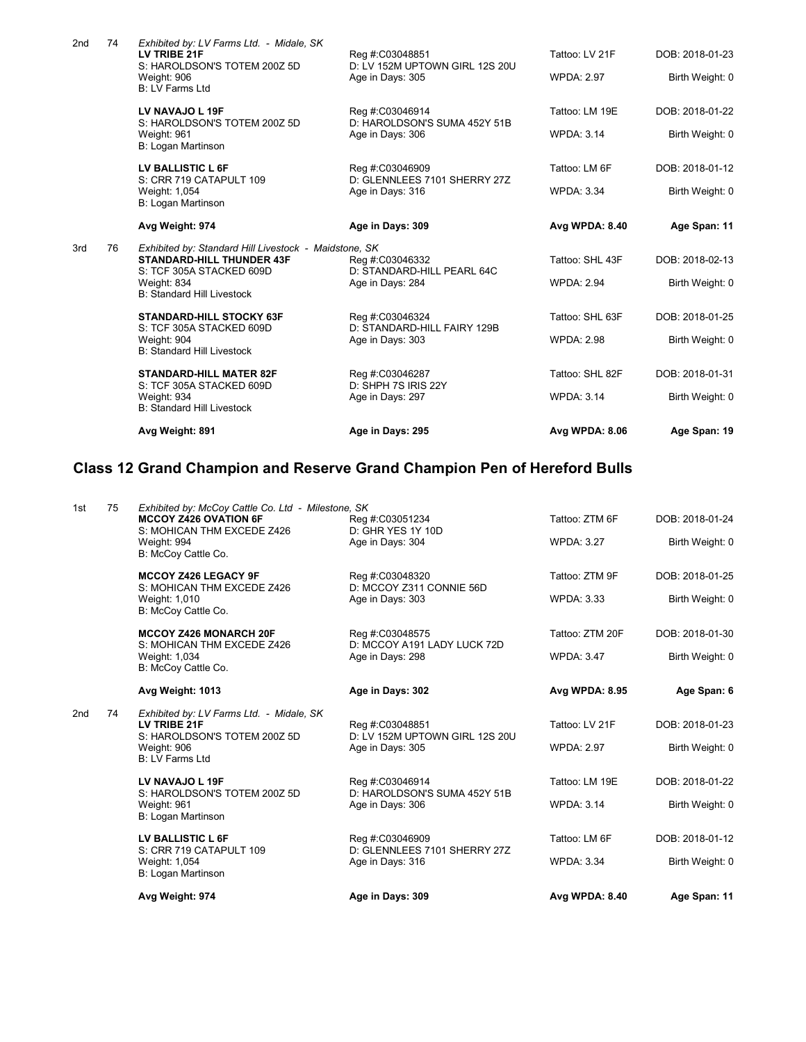|     |    | Avg Weight: 891                                                                                                                                                           | Age in Days: 295                                                    | Avg WPDA: 8.06                       | Age Span: 19                       |
|-----|----|---------------------------------------------------------------------------------------------------------------------------------------------------------------------------|---------------------------------------------------------------------|--------------------------------------|------------------------------------|
|     |    | <b>STANDARD-HILL MATER 82F</b><br>S: TCF 305A STACKED 609D<br>Weight: 934<br><b>B: Standard Hill Livestock</b>                                                            | Reg #:C03046287<br>D: SHPH 7S IRIS 22Y<br>Age in Days: 297          | Tattoo: SHL 82F<br><b>WPDA: 3.14</b> | DOB: 2018-01-31<br>Birth Weight: 0 |
|     |    | <b>STANDARD-HILL STOCKY 63F</b><br>S: TCF 305A STACKED 609D<br>Weight: 904<br><b>B: Standard Hill Livestock</b>                                                           | Reg #:C03046324<br>D: STANDARD-HILL FAIRY 129B<br>Age in Days: 303  | Tattoo: SHL 63F<br><b>WPDA: 2.98</b> | DOB: 2018-01-25<br>Birth Weight: 0 |
| 3rd | 76 | Exhibited by: Standard Hill Livestock - Maidstone, SK<br><b>STANDARD-HILL THUNDER 43F</b><br>S: TCF 305A STACKED 609D<br>Weight: 834<br><b>B: Standard Hill Livestock</b> | Reg #:C03046332<br>D: STANDARD-HILL PEARL 64C<br>Age in Days: 284   | Tattoo: SHL 43F<br><b>WPDA: 2.94</b> | DOB: 2018-02-13<br>Birth Weight: 0 |
|     |    | Avg Weight: 974                                                                                                                                                           | Age in Days: 309                                                    | Avg WPDA: 8.40                       | Age Span: 11                       |
|     |    | S: CRR 719 CATAPULT 109<br>Weight: 1,054<br>B: Logan Martinson                                                                                                            | D: GLENNLEES 7101 SHERRY 27Z<br>Age in Days: 316                    | <b>WPDA: 3.34</b>                    | Birth Weight: 0                    |
|     |    | LV BALLISTIC L 6F                                                                                                                                                         | Reg #:C03046909                                                     | Tattoo: LM 6F                        | DOB: 2018-01-12                    |
|     |    | LV NAVAJO L 19F<br>S: HAROLDSON'S TOTEM 200Z 5D<br>Weight: 961<br>B: Logan Martinson                                                                                      | Reg #:C03046914<br>D: HAROLDSON'S SUMA 452Y 51B<br>Age in Days: 306 | Tattoo: LM 19E<br><b>WPDA: 3.14</b>  | DOB: 2018-01-22<br>Birth Weight: 0 |
|     |    | Weight: 906<br><b>B: LV Farms Ltd</b>                                                                                                                                     | Age in Days: 305                                                    | <b>WPDA: 2.97</b>                    | Birth Weight: 0                    |
| 2nd | 74 | Exhibited by: LV Farms Ltd. - Midale, SK<br>LV TRIBE 21F<br>S: HAROLDSON'S TOTEM 200Z 5D                                                                                  | Reg #:C03048851<br>D: LV 152M UPTOWN GIRL 12S 20U                   | Tattoo: LV 21F                       | DOB: 2018-01-23                    |

# **Class 12 Grand Champion and Reserve Grand Champion Pen of Hereford Bulls**

|                       | Avg Weight: 974                                                                                                                                        | Age in Days: 309                                                      | <b>Avg WPDA: 8.40</b>                | Age Span: 11                       |
|-----------------------|--------------------------------------------------------------------------------------------------------------------------------------------------------|-----------------------------------------------------------------------|--------------------------------------|------------------------------------|
|                       | LV BALLISTIC L 6F<br>S: CRR 719 CATAPULT 109<br>Weight: 1,054<br>B: Logan Martinson                                                                    | Reg #:C03046909<br>D: GLENNLEES 7101 SHERRY 27Z<br>Age in Days: 316   | Tattoo: LM 6F<br><b>WPDA: 3.34</b>   | DOB: 2018-01-12<br>Birth Weight: 0 |
|                       | LV NAVAJO L 19F<br>S: HAROLDSON'S TOTEM 200Z 5D<br>Weight: 961<br>B: Logan Martinson                                                                   | Reg #:C03046914<br>D: HAROLDSON'S SUMA 452Y 51B<br>Age in Days: 306   | Tattoo: LM 19E<br><b>WPDA: 3.14</b>  | DOB: 2018-01-22<br>Birth Weight: 0 |
| 2 <sub>nd</sub><br>74 | Exhibited by: LV Farms Ltd. - Midale, SK<br>LV TRIBE 21F<br>S: HAROLDSON'S TOTEM 200Z 5D<br>Weight: 906<br><b>B: LV Farms Ltd</b>                      | Reg #:C03048851<br>D: LV 152M UPTOWN GIRL 12S 20U<br>Age in Days: 305 | Tattoo: LV 21F<br><b>WPDA: 2.97</b>  | DOB: 2018-01-23<br>Birth Weight: 0 |
|                       | Avg Weight: 1013                                                                                                                                       | Age in Days: 302                                                      | <b>Avg WPDA: 8.95</b>                | Age Span: 6                        |
|                       | <b>MCCOY Z426 MONARCH 20F</b><br>S: MOHICAN THM EXCEDE Z426<br>Weight: 1,034<br>B: McCoy Cattle Co.                                                    | Reg #:C03048575<br>D: MCCOY A191 LADY LUCK 72D<br>Age in Days: 298    | Tattoo: ZTM 20F<br><b>WPDA: 3.47</b> | DOB: 2018-01-30<br>Birth Weight: 0 |
|                       | <b>MCCOY Z426 LEGACY 9F</b><br>S: MOHICAN THM EXCEDE Z426<br>Weight: 1,010<br>B: McCoy Cattle Co.                                                      | Reg #:C03048320<br>D: MCCOY Z311 CONNIE 56D<br>Age in Days: 303       | Tattoo: ZTM 9F<br><b>WPDA: 3.33</b>  | DOB: 2018-01-25<br>Birth Weight: 0 |
| 75<br>1st             | Exhibited by: McCoy Cattle Co. Ltd - Milestone, SK<br><b>MCCOY Z426 OVATION 6F</b><br>S: MOHICAN THM EXCEDE Z426<br>Weight: 994<br>B: McCoy Cattle Co. | Reg #:C03051234<br>D: GHR YES 1Y 10D<br>Age in Days: 304              | Tattoo: ZTM 6F<br><b>WPDA: 3.27</b>  | DOB: 2018-01-24<br>Birth Weight: 0 |
|                       |                                                                                                                                                        |                                                                       |                                      |                                    |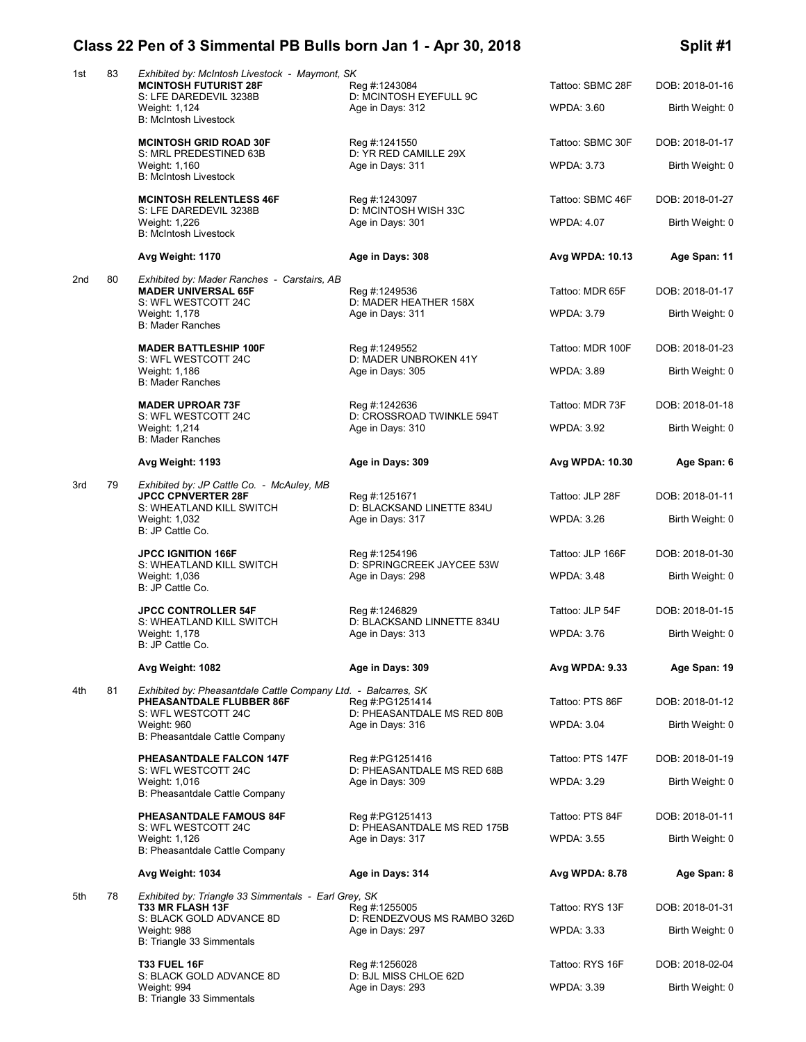# **Class 22 Pen of 3 Simmental PB Bulls born Jan 1 - Apr 30, 2018 Split #1**

| 1st | 83 | Exhibited by: McIntosh Livestock - Maymont, SK<br><b>MCINTOSH FUTURIST 28F</b><br>S: LFE DAREDEVIL 3238B<br>Weight: 1,124 | Reg #:1243084<br>D: MCINTOSH EYEFULL 9C<br>Age in Days: 312 | Tattoo: SBMC 28F<br><b>WPDA: 3.60</b> | DOB: 2018-01-16<br>Birth Weight: 0 |
|-----|----|---------------------------------------------------------------------------------------------------------------------------|-------------------------------------------------------------|---------------------------------------|------------------------------------|
|     |    | <b>B: McIntosh Livestock</b>                                                                                              |                                                             |                                       |                                    |
|     |    | <b>MCINTOSH GRID ROAD 30F</b><br>S: MRL PREDESTINED 63B                                                                   | Reg #:1241550<br>D: YR RED CAMILLE 29X                      | Tattoo: SBMC 30F                      | DOB: 2018-01-17                    |
|     |    | Weight: 1,160<br><b>B: McIntosh Livestock</b>                                                                             | Age in Days: 311                                            | <b>WPDA: 3.73</b>                     | Birth Weight: 0                    |
|     |    | <b>MCINTOSH RELENTLESS 46F</b>                                                                                            | Reg #:1243097                                               | Tattoo: SBMC 46F                      | DOB: 2018-01-27                    |
|     |    | S: LFE DAREDEVIL 3238B<br>Weight: 1,226<br><b>B: McIntosh Livestock</b>                                                   | D: MCINTOSH WISH 33C<br>Age in Days: 301                    | <b>WPDA: 4.07</b>                     | Birth Weight: 0                    |
|     |    | Avg Weight: 1170                                                                                                          | Age in Days: 308                                            | Avg WPDA: 10.13                       | Age Span: 11                       |
| 2nd | 80 | Exhibited by: Mader Ranches - Carstairs, AB<br><b>MADER UNIVERSAL 65F</b><br>S: WFL WESTCOTT 24C                          | Reg #:1249536<br>D: MADER HEATHER 158X                      | Tattoo: MDR 65F                       | DOB: 2018-01-17                    |
|     |    | Weight: 1,178<br><b>B: Mader Ranches</b>                                                                                  | Age in Days: 311                                            | <b>WPDA: 3.79</b>                     | Birth Weight: 0                    |
|     |    | <b>MADER BATTLESHIP 100F</b>                                                                                              | Reg #:1249552                                               | Tattoo: MDR 100F                      | DOB: 2018-01-23                    |
|     |    | S: WFL WESTCOTT 24C<br>Weight: 1,186<br><b>B: Mader Ranches</b>                                                           | D: MADER UNBROKEN 41Y<br>Age in Days: 305                   | <b>WPDA: 3.89</b>                     | Birth Weight: 0                    |
|     |    | <b>MADER UPROAR 73F</b>                                                                                                   | Reg #:1242636                                               | Tattoo: MDR 73F                       | DOB: 2018-01-18                    |
|     |    | S: WFL WESTCOTT 24C<br>Weight: 1,214<br><b>B: Mader Ranches</b>                                                           | D: CROSSROAD TWINKLE 594T<br>Age in Days: 310               | <b>WPDA: 3.92</b>                     | Birth Weight: 0                    |
|     |    | Avg Weight: 1193                                                                                                          | Age in Days: 309                                            | Avg WPDA: 10.30                       | Age Span: 6                        |
| 3rd | 79 | Exhibited by: JP Cattle Co. - McAuley, MB                                                                                 |                                                             |                                       |                                    |
|     |    | <b>JPCC CPNVERTER 28F</b><br>S: WHEATLAND KILL SWITCH                                                                     | Reg #:1251671<br>D: BLACKSAND LINETTE 834U                  | Tattoo: JLP 28F                       | DOB: 2018-01-11                    |
|     |    | Weight: 1,032<br>B: JP Cattle Co.                                                                                         | Age in Days: 317                                            | <b>WPDA: 3.26</b>                     | Birth Weight: 0                    |
|     |    | <b>JPCC IGNITION 166F</b>                                                                                                 | Reg #:1254196                                               | Tattoo: JLP 166F                      | DOB: 2018-01-30                    |
|     |    | S: WHEATLAND KILL SWITCH<br>Weight: 1,036<br>B: JP Cattle Co.                                                             | D: SPRINGCREEK JAYCEE 53W<br>Age in Days: 298               | <b>WPDA: 3.48</b>                     | Birth Weight: 0                    |
|     |    | <b>JPCC CONTROLLER 54F</b>                                                                                                | Reg #:1246829                                               | Tattoo: JLP 54F                       | DOB: 2018-01-15                    |
|     |    | S: WHEATLAND KILL SWITCH<br>Weight: 1,178<br>B: JP Cattle Co.                                                             | D: BLACKSAND LINNETTE 834U<br>Age in Days: 313              | <b>WPDA: 3.76</b>                     | Birth Weight: 0                    |
|     |    | Avg Weight: 1082                                                                                                          | Age in Days: 309                                            | Avg WPDA: 9.33                        | Age Span: 19                       |
| 4th | 81 | Exhibited by: Pheasantdale Cattle Company Ltd. - Balcarres, SK<br>PHEASANTDALE FLUBBER 86F                                |                                                             | Tattoo: PTS 86F                       | DOB: 2018-01-12                    |
|     |    | S: WFL WESTCOTT 24C                                                                                                       | Reg #:PG1251414<br>D: PHEASANTDALE MS RED 80B               |                                       |                                    |
|     |    | Weight: 960<br>B: Pheasantdale Cattle Company                                                                             | Age in Days: 316                                            | <b>WPDA: 3.04</b>                     | Birth Weight: 0                    |
|     |    | PHEASANTDALE FALCON 147F                                                                                                  | Reg #:PG1251416                                             | Tattoo: PTS 147F                      | DOB: 2018-01-19                    |
|     |    | S: WFL WESTCOTT 24C<br>Weight: 1,016<br>B: Pheasantdale Cattle Company                                                    | D: PHEASANTDALE MS RED 68B<br>Age in Days: 309              | <b>WPDA: 3.29</b>                     | Birth Weight: 0                    |
|     |    | <b>PHEASANTDALE FAMOUS 84F</b>                                                                                            | Reg #:PG1251413                                             | Tattoo: PTS 84F                       | DOB: 2018-01-11                    |
|     |    | S: WFL WESTCOTT 24C<br>Weight: 1,126<br>B: Pheasantdale Cattle Company                                                    | D: PHEASANTDALE MS RED 175B<br>Age in Days: 317             | <b>WPDA: 3.55</b>                     | Birth Weight: 0                    |
|     |    | Avg Weight: 1034                                                                                                          | Age in Days: 314                                            | Avg WPDA: 8.78                        | Age Span: 8                        |
| 5th | 78 | Exhibited by: Triangle 33 Simmentals - Earl Grey, SK<br><b>T33 MR FLASH 13F</b>                                           | Reg #:1255005                                               | Tattoo: RYS 13F                       | DOB: 2018-01-31                    |
|     |    | S: BLACK GOLD ADVANCE 8D<br>Weight: 988                                                                                   | D: RENDEZVOUS MS RAMBO 326D<br>Age in Days: 297             | <b>WPDA: 3.33</b>                     | Birth Weight: 0                    |
|     |    | B: Triangle 33 Simmentals                                                                                                 |                                                             |                                       |                                    |
|     |    | <b>T33 FUEL 16F</b><br>S: BLACK GOLD ADVANCE 8D                                                                           | Reg #:1256028<br>D: BJL MISS CHLOE 62D                      | Tattoo: RYS 16F                       | DOB: 2018-02-04                    |
|     |    | Weight: 994<br>B: Triangle 33 Simmentals                                                                                  | Age in Days: 293                                            | <b>WPDA: 3.39</b>                     | Birth Weight: 0                    |